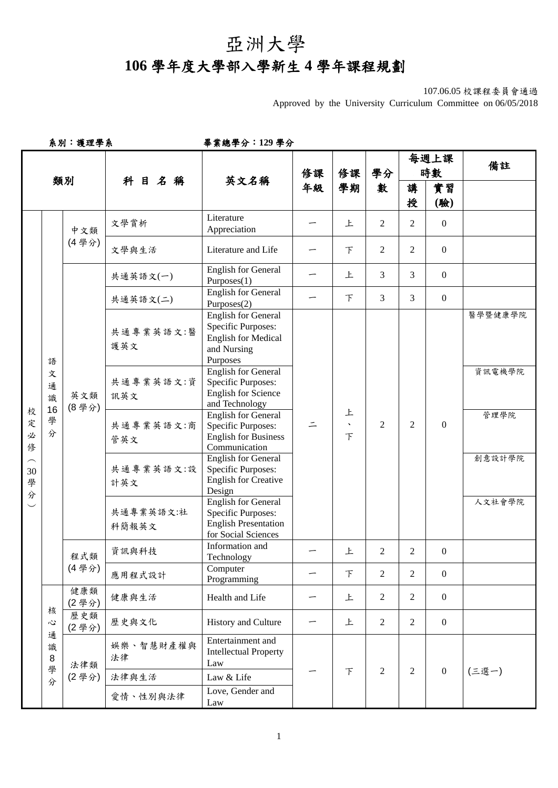## 亞洲大學

## **106** 學年度大學部入學新生 **4** 學年課程規劃

107.06.05 校課程委員會通過

Approved by the University Curriculum Committee on 06/05/2018

系別:護理學系畢業總學分:**129** 學分

| 類別           |                        |                                                                                                                                                                                                                        |                                                                                                                             | 修課<br>科目名稱<br>英文名稱                                                                                               |                                | 修課             | 學分                                    |                | 每週上課<br>時數     | 備註                                            |
|--------------|------------------------|------------------------------------------------------------------------------------------------------------------------------------------------------------------------------------------------------------------------|-----------------------------------------------------------------------------------------------------------------------------|------------------------------------------------------------------------------------------------------------------|--------------------------------|----------------|---------------------------------------|----------------|----------------|-----------------------------------------------|
|              |                        |                                                                                                                                                                                                                        |                                                                                                                             |                                                                                                                  | 年級                             | 學期             | 數                                     | 講<br>授         | 實習<br>(驗)      |                                               |
|              |                        | 中文類<br>(4學分)                                                                                                                                                                                                           | 文學賞析                                                                                                                        | Literature<br>Appreciation                                                                                       |                                | 上              | 2                                     | 2              | $\overline{0}$ |                                               |
|              |                        |                                                                                                                                                                                                                        | 文學與生活                                                                                                                       | Literature and Life                                                                                              |                                | $\top$         | $\overline{2}$                        | 2              | $\overline{0}$ |                                               |
|              |                        |                                                                                                                                                                                                                        | 共通英語文(一)                                                                                                                    | <b>English for General</b><br>Purposes(1)                                                                        |                                | 上              | $\overline{3}$                        | 3              | $\overline{0}$ |                                               |
|              |                        |                                                                                                                                                                                                                        | 共通英語文(二)                                                                                                                    | <b>English for General</b><br>Purposes(2)                                                                        |                                | F              | $\overline{3}$<br>3<br>$\overline{0}$ |                |                |                                               |
|              | 語                      |                                                                                                                                                                                                                        | 共通專業英語文:醫<br>護英文                                                                                                            | <b>English for General</b><br><b>Specific Purposes:</b><br><b>English for Medical</b><br>and Nursing<br>Purposes |                                |                |                                       |                |                |                                               |
| 校            | 文<br>通<br>識<br>16      | 英文類<br>(8學分)                                                                                                                                                                                                           | 共通專業英語文:資<br>訊英文                                                                                                            | <b>English for General</b><br><b>Specific Purposes:</b><br><b>English for Science</b><br>and Technology          |                                | 上              |                                       |                |                | 醫學暨健康學院<br>資訊電機學院<br>管理學院<br>創意設計學院<br>人文社會學院 |
| 定<br>必<br>俢  | 學<br>分                 |                                                                                                                                                                                                                        | <b>English for General</b><br>共通專業英語文:商<br><b>Specific Purposes:</b><br><b>English for Business</b><br>管英文<br>Communication |                                                                                                                  | $\blacktriangledown$<br>$\top$ | $\overline{2}$ | 2                                     | $\mathbf{0}$   |                |                                               |
| 30<br>學<br>分 |                        | 共通專業英語文:設<br><b>Specific Purposes:</b><br><b>English for Creative</b><br>計英文<br>Design<br>English for General<br>共通專業英語文:社<br><b>Specific Purposes:</b><br><b>English Presentation</b><br>科簡報英文<br>for Social Sciences |                                                                                                                             | English for General                                                                                              |                                |                |                                       |                |                |                                               |
|              |                        |                                                                                                                                                                                                                        |                                                                                                                             |                                                                                                                  |                                |                |                                       |                |                |                                               |
|              |                        | 程式類                                                                                                                                                                                                                    | 資訊與科技                                                                                                                       | Information and<br>Technology                                                                                    |                                | 上              | $\overline{2}$                        | 2              | $\overline{0}$ |                                               |
|              |                        | (4學分)                                                                                                                                                                                                                  | 應用程式設計                                                                                                                      | Computer<br>Programming                                                                                          | –                              | F              | $\overline{2}$                        | 2              | $\overline{0}$ |                                               |
|              | 核                      | 健康類<br>(2學分)                                                                                                                                                                                                           | 健康與生活                                                                                                                       | Health and Life                                                                                                  |                                | 上              | $\overline{2}$                        | 2              | $\overline{0}$ |                                               |
|              | $\mathcal{L}$          | 歷史類<br>(2學分)                                                                                                                                                                                                           | 歷史與文化                                                                                                                       | History and Culture                                                                                              | —                              | 上              | $\overline{2}$                        | 2              | $\overline{0}$ |                                               |
|              | 通<br>識<br>$\bf 8$<br>學 | 法律類                                                                                                                                                                                                                    | 娱樂、智慧財產權與<br>法律                                                                                                             | Entertainment and<br><b>Intellectual Property</b><br>Law                                                         |                                | $\top$         | $\overline{2}$                        | $\overline{2}$ | $\mathbf{0}$   | (三選一)                                         |
|              | 分                      | (2學分)                                                                                                                                                                                                                  | 法律與生活                                                                                                                       | Law & Life                                                                                                       |                                |                |                                       |                |                |                                               |
|              |                        |                                                                                                                                                                                                                        | 愛情、性別與法律                                                                                                                    | Love, Gender and<br>Law                                                                                          |                                |                |                                       |                |                |                                               |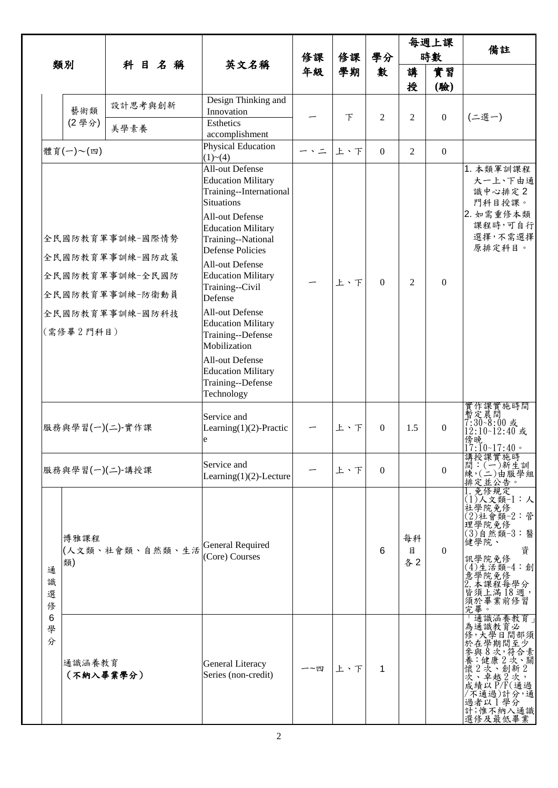| 類別                                            |                     |                                    |                                                                                                                        |             |               |                |                | 每週上課                    | 備註                                                                                                                              |  |
|-----------------------------------------------|---------------------|------------------------------------|------------------------------------------------------------------------------------------------------------------------|-------------|---------------|----------------|----------------|-------------------------|---------------------------------------------------------------------------------------------------------------------------------|--|
|                                               |                     |                                    |                                                                                                                        | 修課          | 修課            | 學分             |                | 時數                      |                                                                                                                                 |  |
|                                               |                     | 科目名稱                               | 英文名稱                                                                                                                   | 年級          | 學期            | 數              | 講              | 實習                      |                                                                                                                                 |  |
|                                               | 藝術類<br>(2學分)        | 設計思考與創新                            | Design Thinking and<br>Innovation<br>Esthetics                                                                         |             | $\mathcal{F}$ | $\overline{2}$ | 授<br>2         | (驗)<br>$\boldsymbol{0}$ | (二選一)                                                                                                                           |  |
|                                               |                     | 美學素養                               | accomplishment<br>Physical Education                                                                                   |             |               |                |                |                         |                                                                                                                                 |  |
|                                               | 體育(一)~(四)           |                                    | (1)~(4)                                                                                                                | $- \cdot -$ | 上、下           | $\overline{0}$ | $\overline{2}$ | $\overline{0}$          |                                                                                                                                 |  |
|                                               |                     |                                    | <b>All-out Defense</b><br><b>Education Military</b><br>Training--International<br><b>Situations</b><br>All-out Defense |             |               |                |                |                         | 1. 本類軍訓課程<br>大一上、下由通<br>識中心排定2<br>門科目授課。<br>2. 如需重修本類                                                                           |  |
|                                               |                     | 全民國防教育軍事訓練-國際情勢                    | <b>Education Military</b><br>Training--National<br><b>Defense Policies</b>                                             |             |               |                |                |                         | 課程時,可自行<br>選擇,不需選擇<br>原排定科目。                                                                                                    |  |
|                                               |                     | 全民國防教育軍事訓練-國防政策<br>全民國防教育軍事訓練-全民國防 | All-out Defense<br><b>Education Military</b>                                                                           |             | 上、下           | $\Omega$       | 2              | $\mathbf{0}$            |                                                                                                                                 |  |
|                                               |                     | 全民國防教育軍事訓練-防衛動員                    | Training--Civil<br>Defense                                                                                             |             |               |                |                |                         |                                                                                                                                 |  |
|                                               | (需修畢2門科目)           | 全民國防教育軍事訓練-國防科技                    | All-out Defense<br><b>Education Military</b><br>Training--Defense<br>Mobilization                                      |             |               |                |                |                         |                                                                                                                                 |  |
|                                               |                     |                                    | All-out Defense<br><b>Education Military</b><br>Training--Defense<br>Technology                                        |             |               |                |                |                         |                                                                                                                                 |  |
| 服務與學習(一)(二)-實作課                               |                     |                                    | Service and<br>Learning $(1)(2)$ -Practic<br>e                                                                         |             | 上、下           | $\mathbf{0}$   | 1.5            | $\mathbf{0}$            | 實作課實施時間<br>暫定晨間<br>7:30~8:00 或<br>12:10~12:40 或<br> 傍晚<br> 17:10~17:40。                                                         |  |
| 服務與學習(一)(二)-講授課                               |                     |                                    | Service and<br>Learning $(1)(2)$ -Lecture                                                                              |             | 上、下           | $\Omega$       |                | $\Omega$                | 講授課實施時<br>間:(一)新生訓<br>練,(二)由服學組<br>排定並公告。                                                                                       |  |
| 通<br>識<br>選<br>修<br>$6\phantom{1}6$<br>學<br>分 | 博雅課程<br>類)          | (人文類、社會類、自然類、生活                    | General Required<br>(Core) Courses                                                                                     |             |               | 6              | 每科<br>目<br>各2  | $\Omega$                | 免修規定<br>(1)人文類–1:人<br>社學院免修<br>2)社會類-2:管<br>理学院免修<br>$(3)$ 自然類 $-3:$ 醫<br>健學院、<br>資<br>訊學院免修<br>(4)生活類-4:創<br>意學院免修<br>2.本課程每學分 |  |
|                                               | 通識涵養教育<br>(不納入畢業學分) |                                    | General Literacy<br>Series (non-credit)                                                                                | 一~四         | 上、下           | 1              |                |                         | 皆須上滿18週,<br>須於畢業前修習<br>宗畢<br>通識涵養教育<br>為通識教育必<br>修,大學日間部須<br>於在學期間至少<br>參與8次,符合素<br>:健康 2<br>、關<br>2次、創新2                       |  |
|                                               |                     |                                    |                                                                                                                        |             |               |                |                |                         | 次、卓越2次,<br>成績以 P/F(通過<br>'不通過)計分,通<br>過者以1學分<br>計;惟不納入通識<br>選修及最低畢業                                                             |  |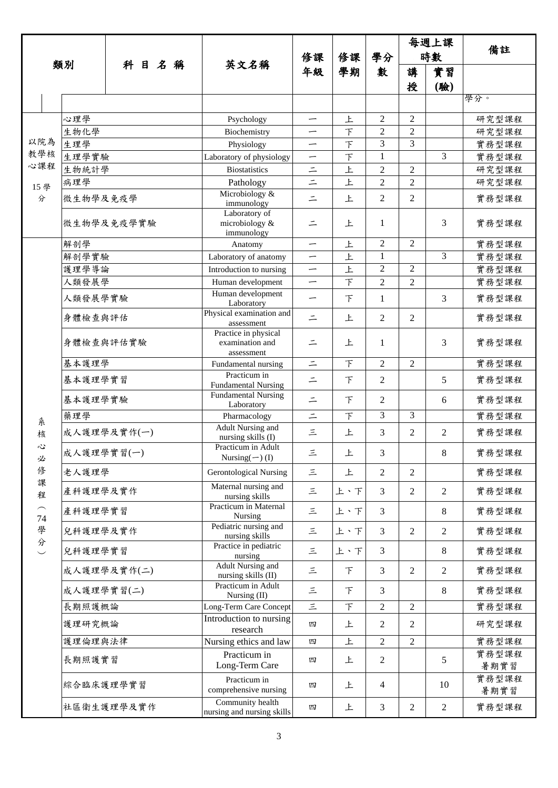|                          |             |   |      |                                                                |          |        |                  |                | 每週上課           |               |  |
|--------------------------|-------------|---|------|----------------------------------------------------------------|----------|--------|------------------|----------------|----------------|---------------|--|
|                          |             |   |      |                                                                | 修課       | 修課     | 學分               | 時數             |                | 備註            |  |
| 類別                       |             |   | 科目名稱 | 英文名稱                                                           | 年級       | 學期     | 數                | 講              | 實習             |               |  |
|                          |             |   |      |                                                                |          |        |                  | 授              | (驗)            |               |  |
|                          |             |   |      |                                                                |          |        |                  |                |                | 學分。           |  |
|                          | 心理學         |   |      | Psychology                                                     | —        | 上      | $\overline{2}$   | $\overline{2}$ |                | 研究型課程         |  |
|                          | 生物化學        |   |      | Biochemistry                                                   | —        | $\top$ | $\overline{2}$   | $\overline{2}$ |                | 研究型課程         |  |
| 以院為                      | 生理學         |   |      | Physiology                                                     | ∽        | $\top$ | 3                | 3              |                | 實務型課程         |  |
| 教學核                      | 生理學實驗       |   |      | Laboratory of physiology                                       | —        | $\top$ | $\mathbf{1}$     |                | 3              | 實務型課程         |  |
| 心課程                      | 生物統計學       |   |      | <b>Biostatistics</b>                                           | $\equiv$ | 上      | $\overline{2}$   | $\overline{2}$ |                | 研究型課程         |  |
| 15學                      | 病理學         |   |      | Pathology                                                      | $\equiv$ | 上      | $\overline{2}$   | $\overline{2}$ |                | 研究型課程         |  |
| 分                        | 微生物學及免疫學    |   |      | Microbiology &<br>immunology                                   | $\equiv$ | 上      | $\overline{2}$   | $\overline{2}$ |                | 實務型課程         |  |
|                          | 微生物學及免疫學實驗  |   |      | Laboratory of<br>microbiology &<br>immunology                  | $\equiv$ | 上      | $\mathbf{1}$     |                | 3              | 實務型課程         |  |
|                          | 解剖學         |   |      | Anatomy                                                        | —        | 上      | $\overline{2}$   | $\overline{2}$ |                | 實務型課程         |  |
|                          | 解剖學實驗       |   |      | Laboratory of anatomy                                          | -        | 上      | $\mathbf{1}$     |                | 3              | 實務型課程         |  |
|                          | 護理學導論       |   |      | Introduction to nursing                                        | ∽        | 上      | $\overline{2}$   | $\overline{2}$ |                | 實務型課程         |  |
|                          | 人類發展學       |   |      | Human development<br>Human development                         | —        | 下      | $\overline{2}$   | $\overline{2}$ |                | 實務型課程         |  |
|                          | 人類發展學實驗     | — | 下    | $\mathbf{1}$                                                   |          | 3      | 實務型課程            |                |                |               |  |
|                          | 身體檢查與評估     |   |      | Physical examination and<br>assessment<br>Practice in physical | $\equiv$ | 上      | $\overline{2}$   | $\overline{2}$ |                | 實務型課程         |  |
|                          | 身體檢查與評估實驗   |   |      | examination and<br>assessment                                  | $\equiv$ | 上      | 1                |                | 3              | 實務型課程         |  |
|                          | 基本護理學       |   |      | Fundamental nursing                                            | $\equiv$ | F      | $\overline{2}$   | $\overline{2}$ |                | 實務型課程         |  |
|                          | 基本護理學實習     |   |      | Practicum in<br><b>Fundamental Nursing</b>                     | $\equiv$ | F      | $\overline{2}$   |                | 5              | 實務型課程         |  |
|                          | 基本護理學實驗     |   |      | <b>Fundamental Nursing</b><br>Laboratory                       | $\equiv$ | F      | $\overline{2}$   |                | 6              | 實務型課程         |  |
| 糸                        | 藥理學         |   |      | Pharmacology                                                   | $\equiv$ | $\top$ | 3                | 3              |                | 實務型課程         |  |
| 核                        | 成人護理學及實作(一) |   |      | Adult Nursing and<br>nursing skills (I)                        | 三        | 上      | 3                | 2              | $\overline{2}$ | 實務型課程         |  |
| 心<br>必                   | 成人護理學實習(一)  |   |      | Practicum in Adult<br>Nursing $(-)$ (I)                        | 三        | 上      | 3                |                | 8              | 實務型課程         |  |
| 俢<br>課                   | 老人護理學       |   |      | <b>Gerontological Nursing</b>                                  | 三        | 上      | $\overline{2}$   | $\overline{2}$ |                | 實務型課程         |  |
| 程                        | 產科護理學及實作    |   |      | Maternal nursing and<br>nursing skills                         | $\equiv$ | 上、下    | 3                | $\overline{2}$ | 2              | 實務型課程         |  |
| 74                       | 產科護理學實習     |   |      | Practicum in Maternal<br>Nursing                               | 三        | 上、下    | $\mathfrak{Z}$   |                | 8              | 實務型課程         |  |
| 學<br>分                   | 兒科護理學及實作    |   |      | Pediatric nursing and<br>nursing skills                        | 三        | 上、下    | 3                | $\overline{2}$ | $\overline{2}$ | 實務型課程         |  |
| $\overline{\phantom{0}}$ | 兒科護理學實習     |   |      | Practice in pediatric<br>nursing                               | 三        | 上、下    | 3                |                | 8              | 實務型課程         |  |
|                          | 成人護理學及實作(二) |   |      | Adult Nursing and<br>nursing skills (II)                       | 三        | 下      | 3                | $\overline{2}$ | $\overline{2}$ | 實務型課程         |  |
|                          | 成人護理學實習(二)  |   |      | Practicum in Adult<br>Nursing (II)                             | 三        | F      | 3                |                | 8              | 實務型課程         |  |
|                          | 長期照護概論      |   |      | Long-Term Care Concept                                         | $\leq$   | $\top$ | $\sqrt{2}$       | $\overline{c}$ |                | 實務型課程         |  |
|                          | 護理研究概論      |   |      | Introduction to nursing<br>research                            | 四        | 上      | $\overline{2}$   | 2              |                | 研究型課程         |  |
|                          | 護理倫理與法律     |   |      | Nursing ethics and law                                         | 四        | 上      | $\overline{2}$   | $\overline{2}$ |                | 實務型課程         |  |
|                          | 長期照護實習      |   |      | Practicum in<br>Long-Term Care                                 | 四        | 上      | $\boldsymbol{2}$ |                | 5              | 實務型課程<br>暑期實習 |  |
|                          | 綜合臨床護理學實習   |   |      | Practicum in<br>comprehensive nursing                          | 四        | 上      | $\overline{4}$   |                | 10             | 實務型課程<br>暑期實習 |  |
|                          | 社區衛生護理學及實作  |   |      | Community health<br>nursing and nursing skills                 | 四        | 上      | $\mathfrak 3$    | $\overline{2}$ | $\mathfrak{2}$ | 實務型課程         |  |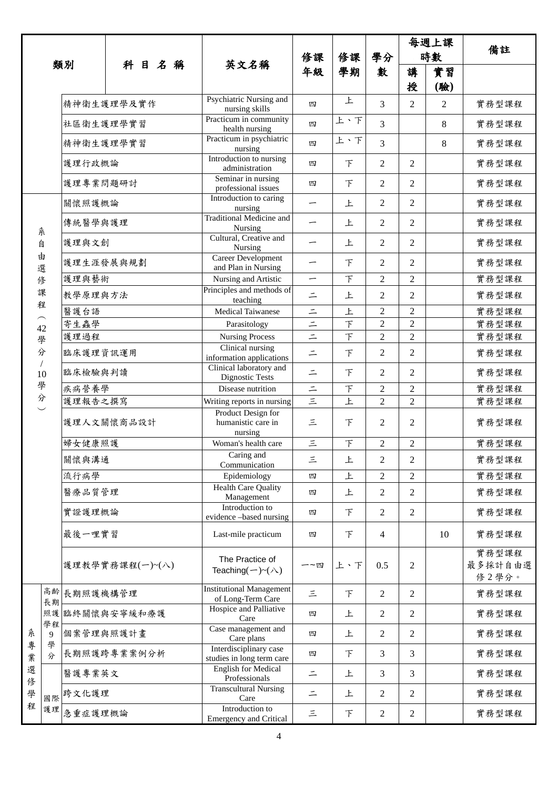|        |          |                 |  |  |      |                                                      |                          |        |                |                | 每週上課           |                           |  |
|--------|----------|-----------------|--|--|------|------------------------------------------------------|--------------------------|--------|----------------|----------------|----------------|---------------------------|--|
|        |          |                 |  |  |      |                                                      | 修課                       | 修課     | 學分             | 時數             |                | 備註                        |  |
|        |          | 類別              |  |  | 科目名稱 | 英文名稱                                                 | 年級                       | 學期     | 數              | 講<br>授         | 實習<br>(驗)      |                           |  |
|        |          | 精神衛生護理學及實作      |  |  |      | Psychiatric Nursing and<br>nursing skills            | 四                        | 上      | 3              | 2              | $\overline{2}$ | 實務型課程                     |  |
|        |          | 社區衛生護理學實習       |  |  |      | Practicum in community<br>health nursing             | 四                        | 上、下    | 3              |                | 8              | 實務型課程                     |  |
|        |          | 精神衛生護理學實習       |  |  |      | Practicum in psychiatric<br>nursing                  | 四                        | 上、下    | 3              |                | 8              | 實務型課程                     |  |
|        |          | 護理行政概論          |  |  |      | Introduction to nursing<br>administration            | 四                        | 下      | $\overline{2}$ | $\overline{2}$ |                | 實務型課程                     |  |
|        |          | 護理專業問題研討        |  |  |      | Seminar in nursing<br>professional issues            | 四                        | F      | $\overline{2}$ | $\overline{2}$ |                | 實務型課程                     |  |
|        |          | 關懷照護概論          |  |  |      | Introduction to caring<br>nursing                    |                          | 上      | $\overline{2}$ | $\overline{2}$ |                | 實務型課程                     |  |
|        | 糸        | 傳統醫學與護理         |  |  |      | <b>Traditional Medicine and</b><br>Nursing           | —                        | 上      | $\overline{2}$ | $\overline{2}$ |                | 實務型課程                     |  |
|        | 自        | 護理與文創           |  |  |      | Cultural, Creative and<br>Nursing                    |                          | 上      | $\overline{2}$ | $\overline{2}$ |                | 實務型課程                     |  |
|        | 由<br>選   | 護理生涯發展與規劃       |  |  |      | <b>Career Development</b><br>and Plan in Nursing     |                          | F      | $\overline{2}$ | $\overline{2}$ |                | 實務型課程                     |  |
|        | 修        | 護理與藝術           |  |  |      | Nursing and Artistic                                 | $\overline{\phantom{0}}$ | $\top$ | $\overline{2}$ | $\overline{2}$ |                | 實務型課程                     |  |
|        | 課<br>程   | 教學原理與方法         |  |  |      | Principles and methods of<br>teaching                | $\equiv$                 | 上      | $\overline{2}$ | $\overline{2}$ |                | 實務型課程                     |  |
|        |          | 醫護台語            |  |  |      | <b>Medical Taiwanese</b>                             | $\equiv$                 | 上      | $\overline{2}$ | $\overline{2}$ |                | 實務型課程                     |  |
|        | 42       | 寄生蟲學            |  |  |      | Parasitology                                         | $\overline{1}$           | $\top$ | $\overline{2}$ | $\overline{2}$ |                | 實務型課程                     |  |
|        | 學        | 護理過程            |  |  |      | <b>Nursing Process</b>                               | $=$                      | $\top$ | $\overline{2}$ | $\overline{2}$ |                | 實務型課程                     |  |
|        | 分        | 臨床護理資訊運用        |  |  |      | Clinical nursing<br>information applications         | $\equiv$                 | F      | $\overline{2}$ | $\overline{2}$ |                | 實務型課程                     |  |
|        | 10       | 臨床檢驗與判讀         |  |  |      | Clinical laboratory and<br>Dignostic Tests           | $\equiv$                 | F      | $\overline{2}$ | $\overline{2}$ |                | 實務型課程                     |  |
|        | 學        | 疾病營養學           |  |  |      | Disease nutrition                                    | $\equiv$                 | $\top$ | $\overline{2}$ | $\overline{2}$ |                | 實務型課程                     |  |
|        | 分        | 護理報告之撰寫         |  |  |      | Writing reports in nursing                           | $\equiv$                 | 上      | $\overline{2}$ | $\overline{2}$ |                | 實務型課程                     |  |
|        |          | 護理人文關懷商品設計      |  |  |      | Product Design for<br>humanistic care in<br>nursing  | $\Xi$                    | F      | $\overline{2}$ | $\overline{2}$ |                | 實務型課程                     |  |
|        |          | 婦女健康照護          |  |  |      | Woman's health care                                  | 三                        | F      | $\overline{2}$ | $\overline{2}$ |                | 實務型課程                     |  |
|        |          | 關懷與溝通           |  |  |      | Caring and<br>Communication                          | 三                        | 上      | $\overline{2}$ | $\overline{2}$ |                | 實務型課程                     |  |
|        |          | 流行病學            |  |  |      | Epidemiology                                         | 四                        | 上      | $\overline{2}$ | $\overline{2}$ |                | 實務型課程                     |  |
|        |          | 醫療品質管理          |  |  |      | <b>Health Care Quality</b><br>Management             | 四                        | 上      | 2              | 2              |                | 實務型課程                     |  |
|        |          | 實證護理概論          |  |  |      | Introduction to<br>evidence -based nursing           | 四                        | F      | 2              | $\overline{2}$ |                | 實務型課程                     |  |
|        |          | 最後一哩實習          |  |  |      | Last-mile practicum                                  | 四                        | F      | $\overline{4}$ |                | 10             | 實務型課程                     |  |
|        |          | 護理教學實務課程(一)~(八) |  |  |      | The Practice of<br>Teaching $(-)$ ~ $(\wedge)$       | 一~四                      | 上、下    | 0.5            | 2              |                | 實務型課程<br>最多採計自由選<br>修2學分。 |  |
|        | 高齢<br>長期 | 長期照護機構管理        |  |  |      | <b>Institutional Management</b><br>of Long-Term Care | $\Xi$                    | 下      | $\overline{2}$ | $\overline{2}$ |                | 實務型課程                     |  |
|        | 照護<br>學程 | 臨終關懷與安寧緩和療護     |  |  |      | Hospice and Palliative<br>Care                       | 四                        | 上      | 2              | $\overline{2}$ |                | 實務型課程                     |  |
| 糸<br>專 | 9<br>學   | 個案管理與照護計畫       |  |  |      | Case management and<br>Care plans                    | 四                        | 上      | $\overline{2}$ | $\overline{2}$ |                | 實務型課程                     |  |
| 業      | 分        | 長期照護跨專業案例分析     |  |  |      | Interdisciplinary case<br>studies in long term care  | 四                        | 下      | 3              | 3              |                | 實務型課程                     |  |
| 選<br>俢 |          | 醫護專業英文          |  |  |      | <b>English for Medical</b><br>Professionals          | $\equiv$                 | 上      | 3              | 3              |                | 實務型課程                     |  |
| 學      | 國際       | 跨文化護理           |  |  |      | <b>Transcultural Nursing</b><br>Care                 | $\equiv$                 | 上      | $\overline{2}$ | $\overline{c}$ |                | 實務型課程                     |  |
| 程      | 護理       | 急重症護理概論         |  |  |      | Introduction to<br><b>Emergency and Critical</b>     | $\equiv$                 | 下      | $\sqrt{2}$     | $\mathfrak 2$  |                | 實務型課程                     |  |